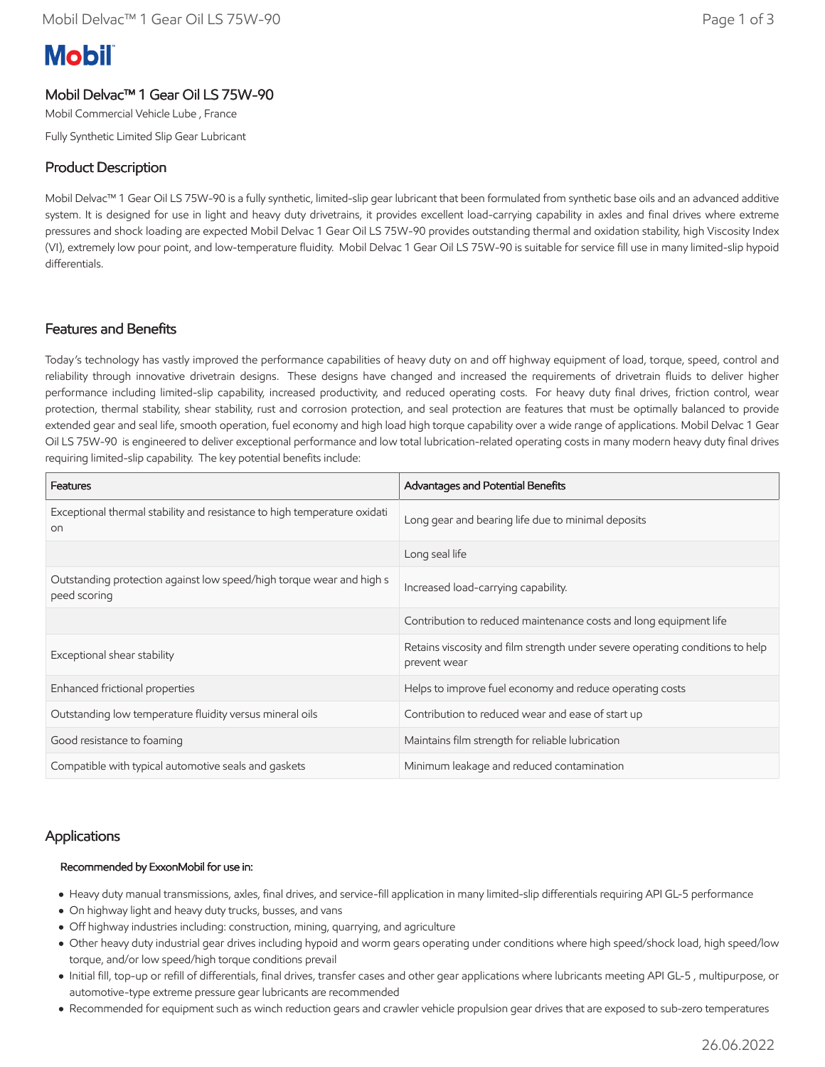# **Mobil**

# Mobil Delvac™ 1 Gear Oil LS 75W-90

Mobil Commercial Vehicle Lube , France

Fully Synthetic Limited Slip Gear Lubricant

# Product Description

Mobil Delvac™ 1 Gear Oil LS 75W-90 is a fully synthetic, limited-slip gear lubricant that been formulated from synthetic base oils and an advanced additive system. It is designed for use in light and heavy duty drivetrains, it provides excellent load-carrying capability in axles and final drives where extreme pressures and shock loading are expected Mobil Delvac 1 Gear Oil LS 75W-90 provides outstanding thermal and oxidation stability, high Viscosity Index (VI), extremely low pour point, and low-temperature fluidity. Mobil Delvac 1 Gear Oil LS 75W-90 is suitable for service fill use in many limited-slip hypoid differentials.

## Features and Benefits

Today's technology has vastly improved the performance capabilities of heavy duty on and off highway equipment of load, torque, speed, control and reliability through innovative drivetrain designs. These designs have changed and increased the requirements of drivetrain fluids to deliver higher performance including limited-slip capability, increased productivity, and reduced operating costs. For heavy duty final drives, friction control, wear protection, thermal stability, shear stability, rust and corrosion protection, and seal protection are features that must be optimally balanced to provide extended gear and seal life, smooth operation, fuel economy and high load high torque capability over a wide range of applications. Mobil Delvac 1 Gear Oil LS 75W-90 is engineered to deliver exceptional performance and low total lubrication-related operating costs in many modern heavy duty final drives requiring limited-slip capability. The key potential benefits include:

| Features                                                                                   | Advantages and Potential Benefits                                                             |  |
|--------------------------------------------------------------------------------------------|-----------------------------------------------------------------------------------------------|--|
| Exceptional thermal stability and resistance to high temperature oxidati<br>O <sub>0</sub> | Long gear and bearing life due to minimal deposits                                            |  |
|                                                                                            | Long seal life                                                                                |  |
| Outstanding protection against low speed/high torque wear and high s<br>peed scoring       | Increased load-carrying capability.                                                           |  |
|                                                                                            | Contribution to reduced maintenance costs and long equipment life                             |  |
| Exceptional shear stability                                                                | Retains viscosity and film strength under severe operating conditions to help<br>prevent wear |  |
| Enhanced frictional properties                                                             | Helps to improve fuel economy and reduce operating costs                                      |  |
| Outstanding low temperature fluidity versus mineral oils                                   | Contribution to reduced wear and ease of start up                                             |  |
| Good resistance to foaming                                                                 | Maintains film strength for reliable lubrication                                              |  |
| Compatible with typical automotive seals and gaskets                                       | Minimum leakage and reduced contamination                                                     |  |

### **Applications**

#### Recommended by ExxonMobil for use in:

- Heavy duty manual transmissions, axles, final drives, and service-fill application in many limited-slip differentials requiring API GL-5 performance
- On highway light and heavy duty trucks, busses, and vans
- Off highway industries including: construction, mining, quarrying, and agriculture
- Other heavy duty industrial gear drives including hypoid and worm gears operating under conditions where high speed/shock load, high speed/low torque, and/or low speed/high torque conditions prevail
- Initial fill, top-up or refill of differentials, final drives, transfer cases and other gear applications where lubricants meeting API GL-5 , multipurpose, or automotive-type extreme pressure gear lubricants are recommended
- Recommended for equipment such as winch reduction gears and crawler vehicle propulsion gear drives that are exposed to sub-zero temperatures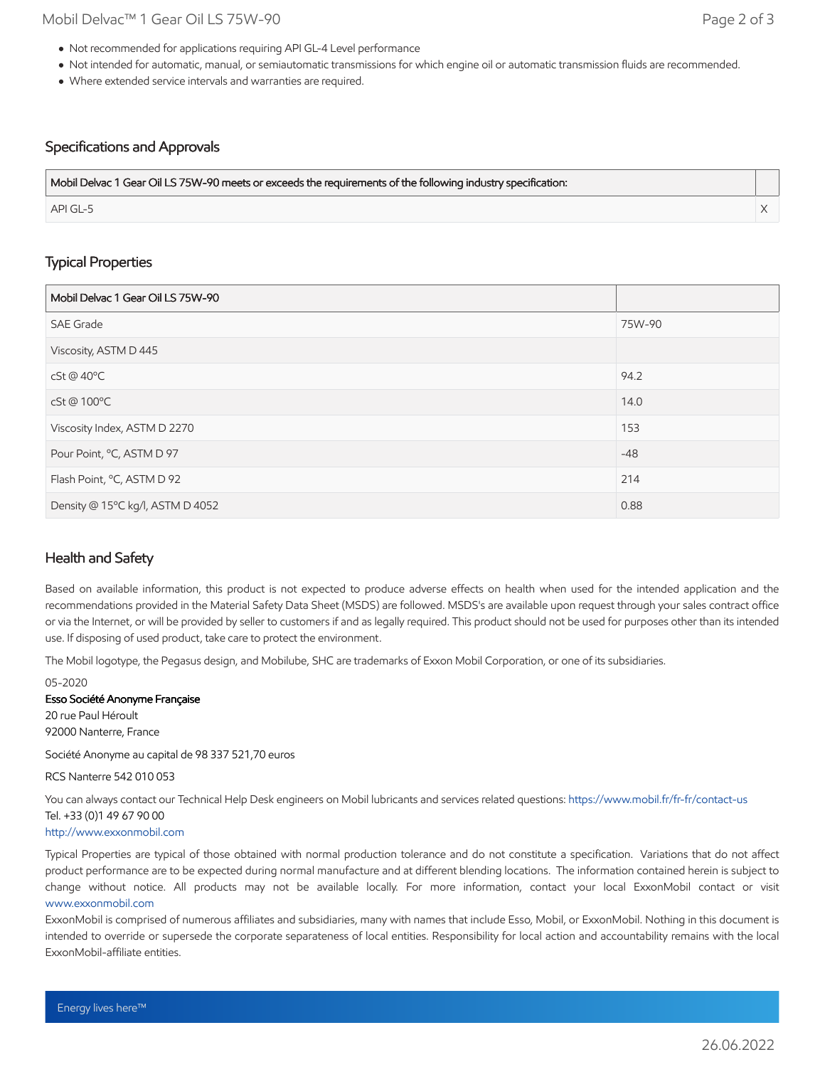- Not recommended for applications requiring API GL-4 Level performance
- Not intended for automatic, manual, or semiautomatic transmissions for which engine oil or automatic transmission fluids are recommended.
- Where extended service intervals and warranties are required.

#### Specifications and Approvals

| Mobil Delvac 1 Gear Oil LS 75W-90 meets or exceeds the requirements of the following industry specification: |  |
|--------------------------------------------------------------------------------------------------------------|--|
| API GL-5                                                                                                     |  |

#### Typical Properties

| Mobil Delvac 1 Gear Oil LS 75W-90 |        |
|-----------------------------------|--------|
| <b>SAE Grade</b>                  | 75W-90 |
| Viscosity, ASTM D 445             |        |
| cSt @ 40°C                        | 94.2   |
| cSt@100°C                         | 14.0   |
| Viscosity Index, ASTM D 2270      | 153    |
| Pour Point, °C, ASTM D 97         | $-48$  |
| Flash Point, °C, ASTM D 92        | 214    |
| Density @ 15°C kg/l, ASTM D 4052  | 0.88   |

### Health and Safety

Based on available information, this product is not expected to produce adverse effects on health when used for the intended application and the recommendations provided in the Material Safety Data Sheet (MSDS) are followed. MSDS's are available upon request through your sales contract office or via the Internet, or will be provided by seller to customers if and as legally required. This product should not be used for purposes other than its intended use. If disposing of used product, take care to protect the environment.

The Mobil logotype, the Pegasus design, and Mobilube, SHC are trademarks of Exxon Mobil Corporation, or one of its subsidiaries.

05-2020

Esso Société Anonyme Française

20 rue Paul Héroult 92000 Nanterre, France

Société Anonyme au capital de 98 337 521,70 euros

RCS Nanterre 542 010 053

You can always contact our Technical Help Desk engineers on Mobil lubricants and services related questions:<https://www.mobil.fr/fr-fr/contact-us> Tel. +33 (0)1 49 67 90 00

[http://www.exxonmobil.com](http://www.exxonmobil.com/)

Typical Properties are typical of those obtained with normal production tolerance and do not constitute a specification. Variations that do not affect product performance are to be expected during normal manufacture and at different blending locations. The information contained herein is subject to change without notice. All products may not be available locally. For more information, contact your local ExxonMobil contact or visit [www.exxonmobil.com](http://www.exxonmobil.com/)

ExxonMobil is comprised of numerous affiliates and subsidiaries, many with names that include Esso, Mobil, or ExxonMobil. Nothing in this document is intended to override or supersede the corporate separateness of local entities. Responsibility for local action and accountability remains with the local ExxonMobil-affiliate entities.